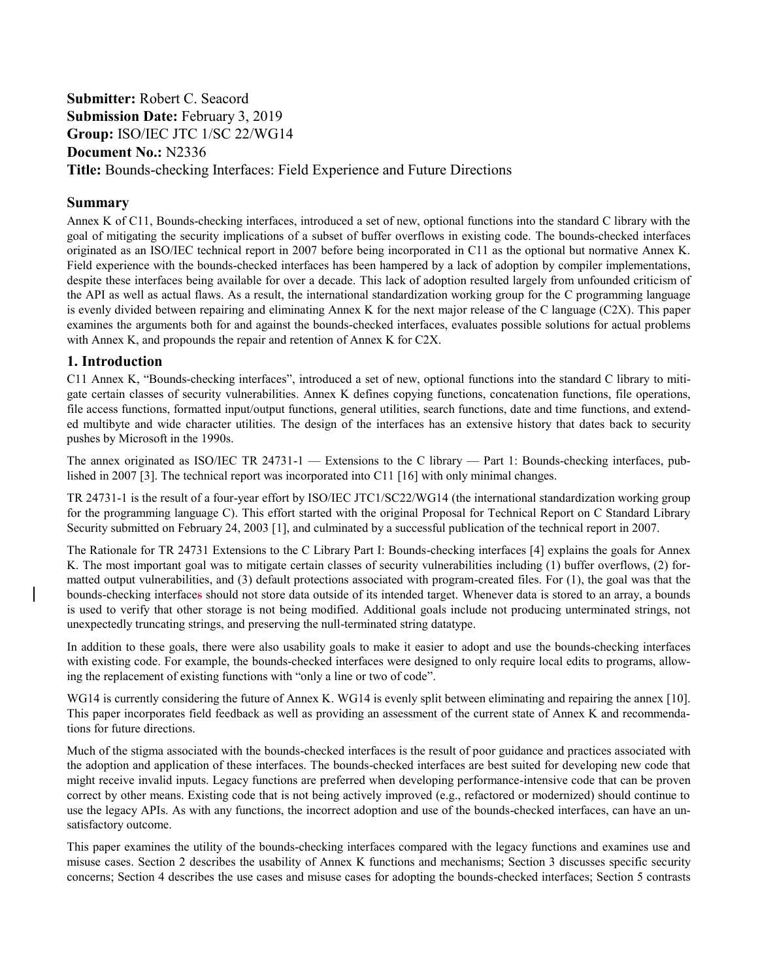# **Submitter:** Robert C. Seacord **Submission Date:** February 3, 2019 **Group:** ISO/IEC JTC 1/SC 22/WG14 **Document No.:** N2336 **Title:** Bounds-checking Interfaces: Field Experience and Future Directions

# **Summary**

Annex K of C11, Bounds-checking interfaces, introduced a set of new, optional functions into the standard C library with the goal of mitigating the security implications of a subset of buffer overflows in existing code. The bounds-checked interfaces originated as an ISO/IEC technical report in 2007 before being incorporated in C11 as the optional but normative Annex K. Field experience with the bounds-checked interfaces has been hampered by a lack of adoption by compiler implementations, despite these interfaces being available for over a decade. This lack of adoption resulted largely from unfounded criticism of the API as well as actual flaws. As a result, the international standardization working group for the C programming language is evenly divided between repairing and eliminating Annex K for the next major release of the C language (C2X). This paper examines the arguments both for and against the bounds-checked interfaces, evaluates possible solutions for actual problems with Annex K, and propounds the repair and retention of Annex K for C2X.

# **1. Introduction**

C11 Annex K, "Bounds-checking interfaces", introduced a set of new, optional functions into the standard C library to mitigate certain classes of security vulnerabilities. Annex K defines copying functions, concatenation functions, file operations, file access functions, formatted input/output functions, general utilities, search functions, date and time functions, and extended multibyte and wide character utilities. The design of the interfaces has an extensive history that dates back to security pushes by Microsoft in the 1990s.

The annex originated as ISO/IEC TR 24731-1 — Extensions to the C library — Part 1: Bounds-checking interfaces, published in 2007 [3]. The technical report was incorporated into C11 [16] with only minimal changes.

TR 24731-1 is the result of a four-year effort by ISO/IEC JTC1/SC22/WG14 (the international standardization working group for the programming language C). This effort started with the original Proposal for Technical Report on C Standard Library Security submitted on February 24, 2003 [1], and culminated by a successful publication of the technical report in 2007.

The Rationale for TR 24731 Extensions to the C Library Part I: Bounds-checking interfaces [4] explains the goals for Annex K. The most important goal was to mitigate certain classes of security vulnerabilities including (1) buffer overflows, (2) formatted output vulnerabilities, and (3) default protections associated with program-created files. For (1), the goal was that the bounds-checking interfaces should not store data outside of its intended target. Whenever data is stored to an array, a bounds is used to verify that other storage is not being modified. Additional goals include not producing unterminated strings, not unexpectedly truncating strings, and preserving the null-terminated string datatype.

In addition to these goals, there were also usability goals to make it easier to adopt and use the bounds-checking interfaces with existing code. For example, the bounds-checked interfaces were designed to only require local edits to programs, allowing the replacement of existing functions with "only a line or two of code".

WG14 is currently considering the future of Annex K. WG14 is evenly split between eliminating and repairing the annex [10]. This paper incorporates field feedback as well as providing an assessment of the current state of Annex K and recommendations for future directions.

Much of the stigma associated with the bounds-checked interfaces is the result of poor guidance and practices associated with the adoption and application of these interfaces. The bounds-checked interfaces are best suited for developing new code that might receive invalid inputs. Legacy functions are preferred when developing performance-intensive code that can be proven correct by other means. Existing code that is not being actively improved (e.g., refactored or modernized) should continue to use the legacy APIs. As with any functions, the incorrect adoption and use of the bounds-checked interfaces, can have an unsatisfactory outcome.

This paper examines the utility of the bounds-checking interfaces compared with the legacy functions and examines use and misuse cases. Section 2 describes the usability of Annex K functions and mechanisms; Section 3 discusses specific security concerns; Section 4 describes the use cases and misuse cases for adopting the bounds-checked interfaces; Section 5 contrasts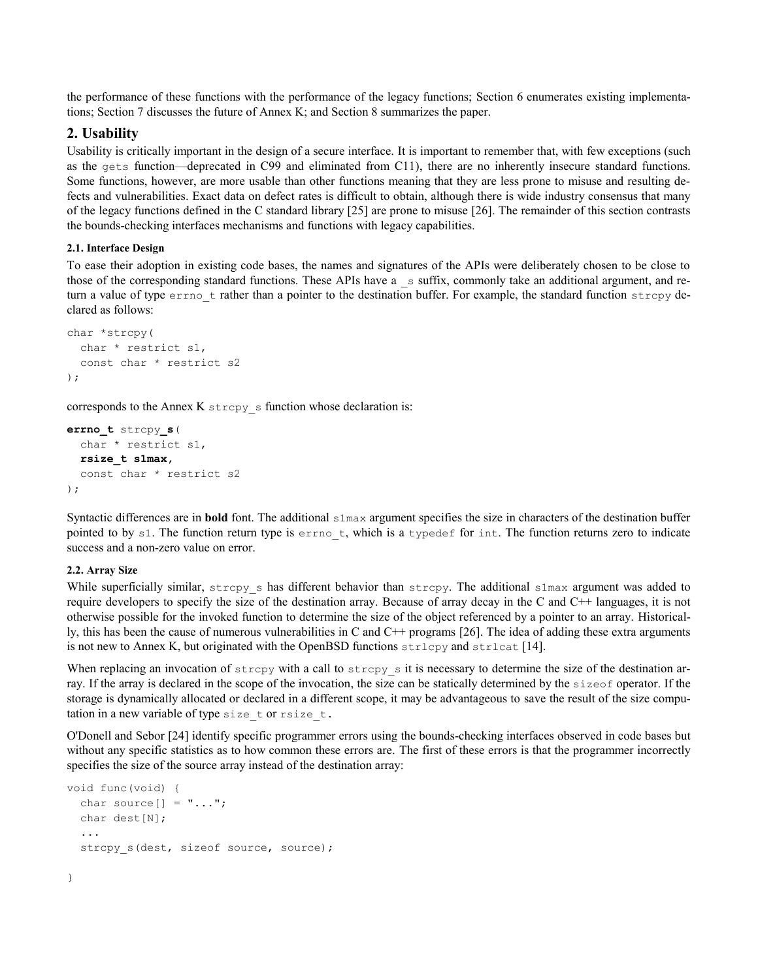the performance of these functions with the performance of the legacy functions; Section 6 enumerates existing implementations; Section 7 discusses the future of Annex K; and Section 8 summarizes the paper.

### **2. Usability**

Usability is critically important in the design of a secure interface. It is important to remember that, with few exceptions (such as the gets function—deprecated in C99 and eliminated from C11), there are no inherently insecure standard functions. Some functions, however, are more usable than other functions meaning that they are less prone to misuse and resulting defects and vulnerabilities. Exact data on defect rates is difficult to obtain, although there is wide industry consensus that many of the legacy functions defined in the C standard library [25] are prone to misuse [26]. The remainder of this section contrasts the bounds-checking interfaces mechanisms and functions with legacy capabilities.

#### **2.1. Interface Design**

To ease their adoption in existing code bases, the names and signatures of the APIs were deliberately chosen to be close to those of the corresponding standard functions. These APIs have a  $\overline{\phantom{a}}$  suffix, commonly take an additional argument, and return a value of type errno t rather than a pointer to the destination buffer. For example, the standard function strcpy declared as follows:

```
char *strcpy(
   char * restrict s1, 
   const char * restrict s2
);
```
corresponds to the Annex K strcpy\_s function whose declaration is:

```
errno_t strcpy_s(
   char * restrict s1, 
   rsize_t s1max,
   const char * restrict s2
);
```
Syntactic differences are in **bold** font. The additional s1max argument specifies the size in characters of the destination buffer pointed to by s1. The function return type is  $errno$  t, which is a typedef for int. The function returns zero to indicate success and a non-zero value on error.

#### **2.2. Array Size**

}

While superficially similar, strcpy s has different behavior than strcpy. The additional s1max argument was added to require developers to specify the size of the destination array. Because of array decay in the C and C++ languages, it is not otherwise possible for the invoked function to determine the size of the object referenced by a pointer to an array. Historically, this has been the cause of numerous vulnerabilities in C and C++ programs [26]. The idea of adding these extra arguments is not new to Annex K, but originated with the OpenBSD functions  $strl_{cpy}$  and  $strl_{cat}$  [14].

When replacing an invocation of  $\text{stropy}$  with a call to  $\text{stropy}$  it is necessary to determine the size of the destination array. If the array is declared in the scope of the invocation, the size can be statically determined by the sizeof operator. If the storage is dynamically allocated or declared in a different scope, it may be advantageous to save the result of the size computation in a new variable of type size\_t or rsize\_t.

O'Donell and Sebor [24] identify specific programmer errors using the bounds-checking interfaces observed in code bases but without any specific statistics as to how common these errors are. The first of these errors is that the programmer incorrectly specifies the size of the source array instead of the destination array:

```
void func(void) {
  char source[] = "...";
   char dest[N];
 ...
  strcpy s(dest, sizeof source, source);
```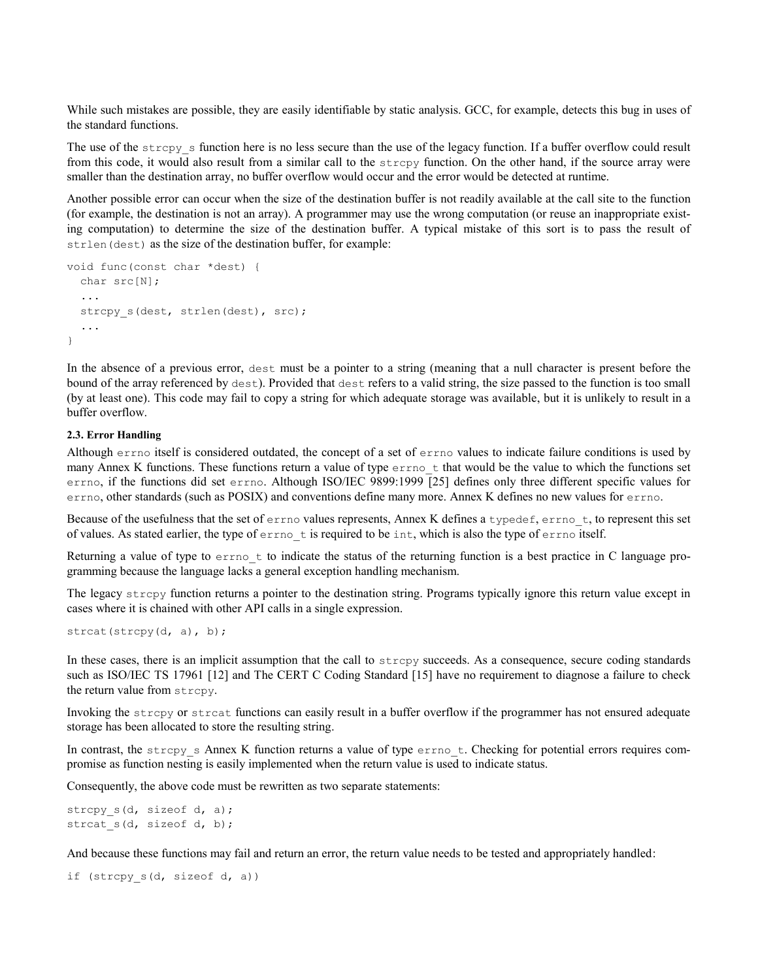While such mistakes are possible, they are easily identifiable by static analysis. GCC, for example, detects this bug in uses of the standard functions.

The use of the  $\text{stropy}_s$  s function here is no less secure than the use of the legacy function. If a buffer overflow could result from this code, it would also result from a similar call to the strcpy function. On the other hand, if the source array were smaller than the destination array, no buffer overflow would occur and the error would be detected at runtime.

Another possible error can occur when the size of the destination buffer is not readily available at the call site to the function (for example, the destination is not an array). A programmer may use the wrong computation (or reuse an inappropriate existing computation) to determine the size of the destination buffer. A typical mistake of this sort is to pass the result of strlen(dest) as the size of the destination buffer, for example:

```
void func(const char *dest) {
   char src[N];
   ...
   strcpy_s(dest, strlen(dest), src);
   ...
}
```
In the absence of a previous error, dest must be a pointer to a string (meaning that a null character is present before the bound of the array referenced by dest). Provided that dest refers to a valid string, the size passed to the function is too small (by at least one). This code may fail to copy a string for which adequate storage was available, but it is unlikely to result in a buffer overflow.

#### **2.3. Error Handling**

Although errno itself is considered outdated, the concept of a set of errno values to indicate failure conditions is used by many Annex K functions. These functions return a value of type  $erro$  that would be the value to which the functions set errno, if the functions did set errno. Although ISO/IEC 9899:1999 [25] defines only three different specific values for errno, other standards (such as POSIX) and conventions define many more. Annex K defines no new values for errno.

Because of the usefulness that the set of errno values represents, Annex K defines a typedef, errno\_t, to represent this set of values. As stated earlier, the type of errno\_t is required to be int, which is also the type of errno itself.

Returning a value of type to errno\_t to indicate the status of the returning function is a best practice in C language programming because the language lacks a general exception handling mechanism.

The legacy strcpy function returns a pointer to the destination string. Programs typically ignore this return value except in cases where it is chained with other API calls in a single expression.

strcat(strcpy(d, a), b);

In these cases, there is an implicit assumption that the call to strcpy succeeds. As a consequence, secure coding standards such as ISO/IEC TS 17961 [12] and The CERT C Coding Standard [15] have no requirement to diagnose a failure to check the return value from strcpy.

Invoking the strcpy or strcat functions can easily result in a buffer overflow if the programmer has not ensured adequate storage has been allocated to store the resulting string.

In contrast, the strcpy s Annex K function returns a value of type errno t. Checking for potential errors requires compromise as function nesting is easily implemented when the return value is used to indicate status.

Consequently, the above code must be rewritten as two separate statements:

strcpy s(d, sizeof d, a); strcat s(d, sizeof d, b);

And because these functions may fail and return an error, the return value needs to be tested and appropriately handled:

if (strcpy\_s(d, sizeof d, a))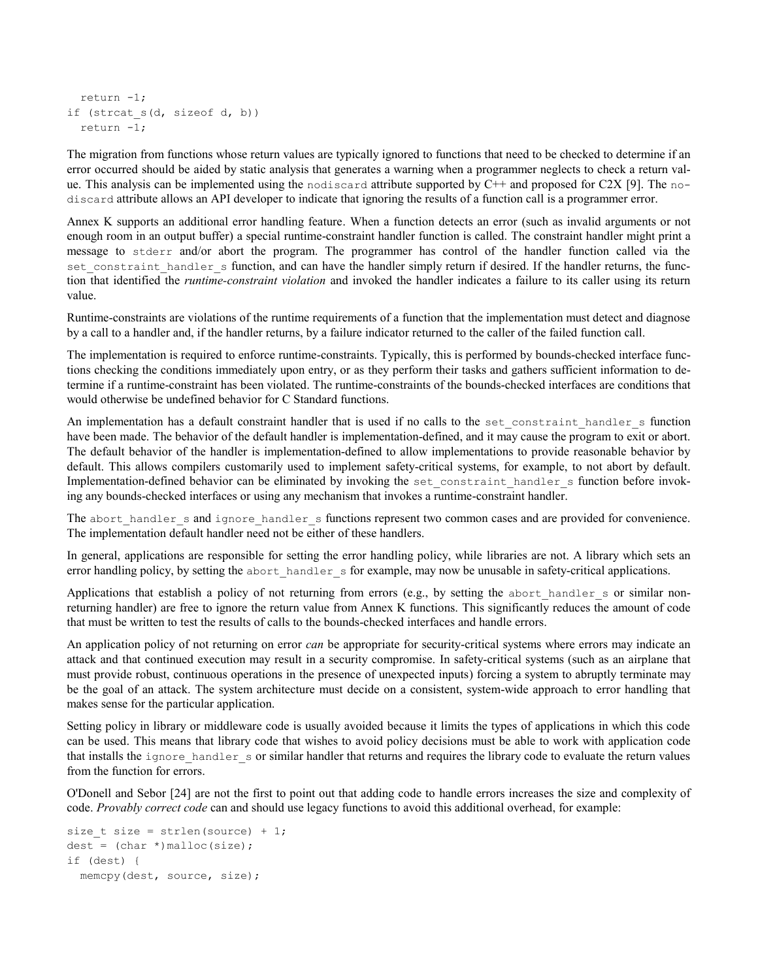```
 return -1;
if (strcat s(d, sizeof d, b))
  return -1;
```
The migration from functions whose return values are typically ignored to functions that need to be checked to determine if an error occurred should be aided by static analysis that generates a warning when a programmer neglects to check a return value. This analysis can be implemented using the nodiscard attribute supported by C++ and proposed for C2X [9]. The nodiscard attribute allows an API developer to indicate that ignoring the results of a function call is a programmer error.

Annex K supports an additional error handling feature. When a function detects an error (such as invalid arguments or not enough room in an output buffer) a special runtime-constraint handler function is called. The constraint handler might print a message to stderr and/or abort the program. The programmer has control of the handler function called via the set constraint handler s function, and can have the handler simply return if desired. If the handler returns, the function that identified the *runtime-constraint violation* and invoked the handler indicates a failure to its caller using its return value.

Runtime-constraints are violations of the runtime requirements of a function that the implementation must detect and diagnose by a call to a handler and, if the handler returns, by a failure indicator returned to the caller of the failed function call.

The implementation is required to enforce runtime-constraints. Typically, this is performed by bounds-checked interface functions checking the conditions immediately upon entry, or as they perform their tasks and gathers sufficient information to determine if a runtime-constraint has been violated. The runtime-constraints of the bounds-checked interfaces are conditions that would otherwise be undefined behavior for C Standard functions.

An implementation has a default constraint handler that is used if no calls to the set\_constraint\_handler\_s function have been made. The behavior of the default handler is implementation-defined, and it may cause the program to exit or abort. The default behavior of the handler is implementation-defined to allow implementations to provide reasonable behavior by default. This allows compilers customarily used to implement safety-critical systems, for example, to not abort by default. Implementation-defined behavior can be eliminated by invoking the set\_constraint\_handler\_s function before invoking any bounds-checked interfaces or using any mechanism that invokes a runtime-constraint handler.

The abort handler s and ignore handler s functions represent two common cases and are provided for convenience. The implementation default handler need not be either of these handlers.

In general, applications are responsible for setting the error handling policy, while libraries are not. A library which sets an error handling policy, by setting the abort\_handler\_s for example, may now be unusable in safety-critical applications.

Applications that establish a policy of not returning from errors (e.g., by setting the abort handler s or similar nonreturning handler) are free to ignore the return value from Annex K functions. This significantly reduces the amount of code that must be written to test the results of calls to the bounds-checked interfaces and handle errors.

An application policy of not returning on error *can* be appropriate for security-critical systems where errors may indicate an attack and that continued execution may result in a security compromise. In safety-critical systems (such as an airplane that must provide robust, continuous operations in the presence of unexpected inputs) forcing a system to abruptly terminate may be the goal of an attack. The system architecture must decide on a consistent, system-wide approach to error handling that makes sense for the particular application.

Setting policy in library or middleware code is usually avoided because it limits the types of applications in which this code can be used. This means that library code that wishes to avoid policy decisions must be able to work with application code that installs the ignore handler s or similar handler that returns and requires the library code to evaluate the return values from the function for errors.

O'Donell and Sebor [24] are not the first to point out that adding code to handle errors increases the size and complexity of code. *Provably correct code* can and should use legacy functions to avoid this additional overhead, for example:

```
size_t size = strlen(source) + 1;
dest = (char *)malloc(size);
if (dest) {
   memcpy(dest, source, size);
```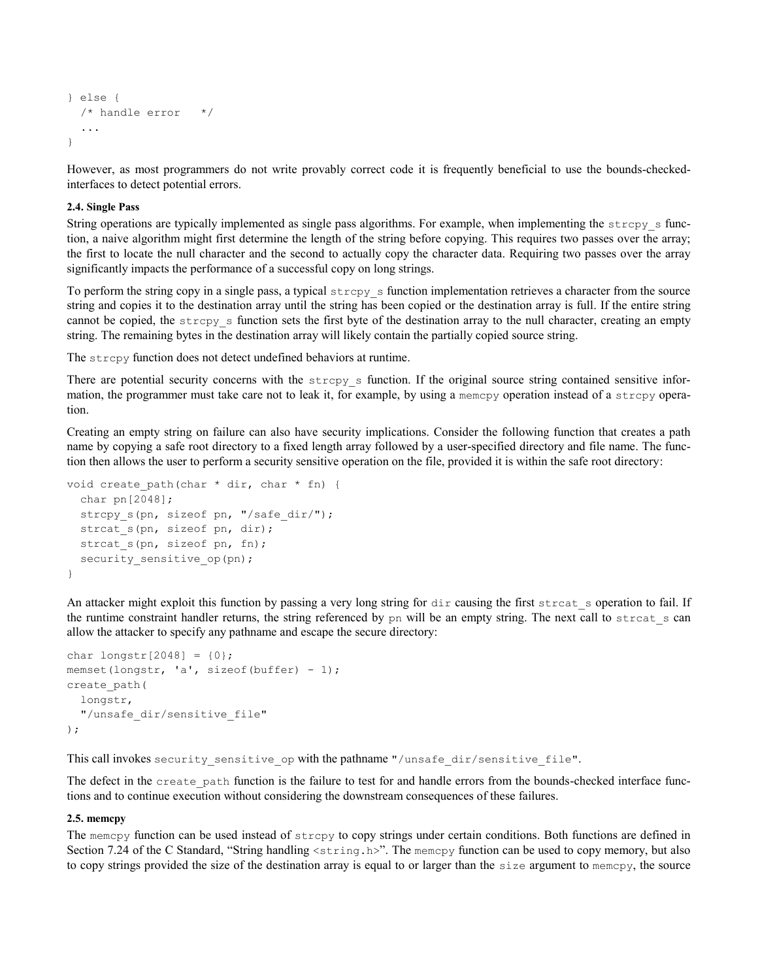```
} else {
   /* handle error */
   ...
}
```
However, as most programmers do not write provably correct code it is frequently beneficial to use the bounds-checkedinterfaces to detect potential errors.

#### **2.4. Single Pass**

String operations are typically implemented as single pass algorithms. For example, when implementing the strcpy s function, a naive algorithm might first determine the length of the string before copying. This requires two passes over the array; the first to locate the null character and the second to actually copy the character data. Requiring two passes over the array significantly impacts the performance of a successful copy on long strings.

To perform the string copy in a single pass, a typical  $\text{stropy}_s$  function implementation retrieves a character from the source string and copies it to the destination array until the string has been copied or the destination array is full. If the entire string cannot be copied, the  $\text{stropy}_s$  s function sets the first byte of the destination array to the null character, creating an empty string. The remaining bytes in the destination array will likely contain the partially copied source string.

The strcpy function does not detect undefined behaviors at runtime.

There are potential security concerns with the  $\text{stropy}_s$  s function. If the original source string contained sensitive information, the programmer must take care not to leak it, for example, by using a memcpy operation instead of a strcpy operation.

Creating an empty string on failure can also have security implications. Consider the following function that creates a path name by copying a safe root directory to a fixed length array followed by a user-specified directory and file name. The function then allows the user to perform a security sensitive operation on the file, provided it is within the safe root directory:

```
void create path(char * dir, char * fn) {
   char pn[2048];
  strcpy s(pn, sizeof pn, "/safe dir/");
   strcat_s(pn, sizeof pn, dir);
   strcat_s(pn, sizeof pn, fn);
  security sensitive op(pn);
}
```
An attacker might exploit this function by passing a very long string for dir causing the first streat s operation to fail. If the runtime constraint handler returns, the string referenced by pn will be an empty string. The next call to strcat s can allow the attacker to specify any pathname and escape the secure directory:

```
char longstr[2048] = \{0\};memset(longstr, 'a', sizeof(buffer) - 1);
create_path(
   longstr,
   "/unsafe_dir/sensitive_file"
);
```
This call invokes security\_sensitive\_op with the pathname "/unsafe\_dir/sensitive\_file".

The defect in the create path function is the failure to test for and handle errors from the bounds-checked interface functions and to continue execution without considering the downstream consequences of these failures.

#### **2.5. memcpy**

The memcpy function can be used instead of strcpy to copy strings under certain conditions. Both functions are defined in Section 7.24 of the C Standard, "String handling <string.h>". The memcpy function can be used to copy memory, but also to copy strings provided the size of the destination array is equal to or larger than the size argument to memcpy, the source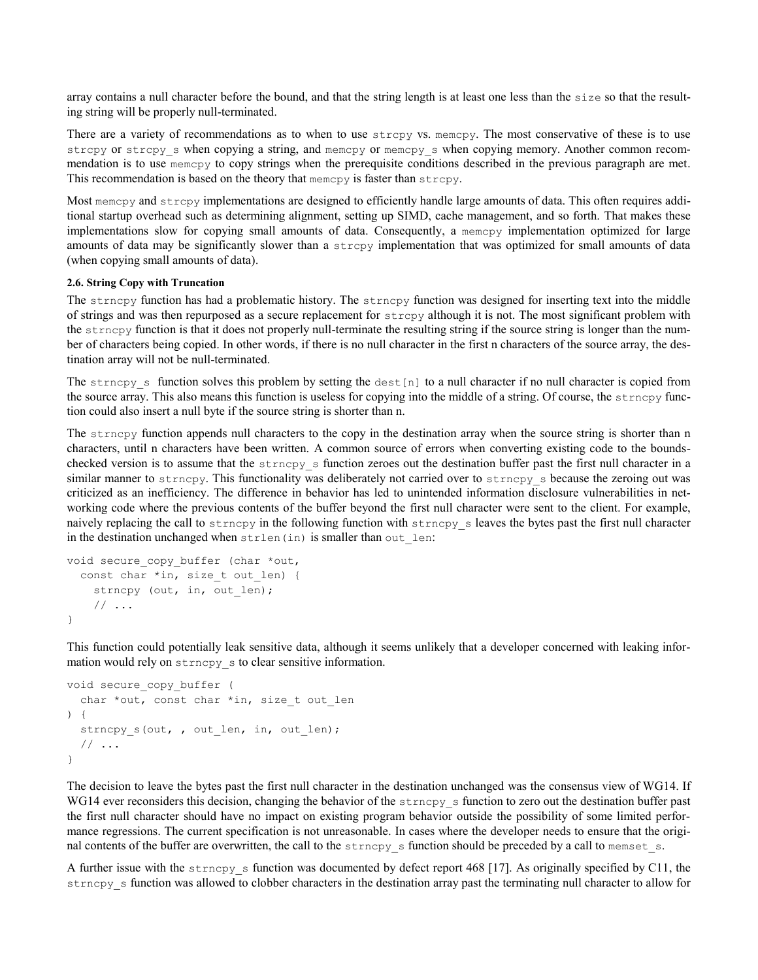array contains a null character before the bound, and that the string length is at least one less than the size so that the resulting string will be properly null-terminated.

There are a variety of recommendations as to when to use strcpy vs. memcpy. The most conservative of these is to use strcpy or strcpy\_s when copying a string, and memcpy or memcpy\_s when copying memory. Another common recommendation is to use memcpy to copy strings when the prerequisite conditions described in the previous paragraph are met. This recommendation is based on the theory that memcpy is faster than strcpy.

Most memcpy and strcpy implementations are designed to efficiently handle large amounts of data. This often requires additional startup overhead such as determining alignment, setting up SIMD, cache management, and so forth. That makes these implementations slow for copying small amounts of data. Consequently, a memcpy implementation optimized for large amounts of data may be significantly slower than a strcpy implementation that was optimized for small amounts of data (when copying small amounts of data).

#### **2.6. String Copy with Truncation**

The strncpy function has had a problematic history. The strncpy function was designed for inserting text into the middle of strings and was then repurposed as a secure replacement for strcpy although it is not. The most significant problem with the strncpy function is that it does not properly null-terminate the resulting string if the source string is longer than the number of characters being copied. In other words, if there is no null character in the first n characters of the source array, the destination array will not be null-terminated.

The strncpy s function solves this problem by setting the dest [n] to a null character if no null character is copied from the source array. This also means this function is useless for copying into the middle of a string. Of course, the strncpy function could also insert a null byte if the source string is shorter than n.

The strncpy function appends null characters to the copy in the destination array when the source string is shorter than n characters, until n characters have been written. A common source of errors when converting existing code to the boundschecked version is to assume that the strncpy\_s function zeroes out the destination buffer past the first null character in a similar manner to strncpy. This functionality was deliberately not carried over to strncpy s because the zeroing out was criticized as an inefficiency. The difference in behavior has led to unintended information disclosure vulnerabilities in networking code where the previous contents of the buffer beyond the first null character were sent to the client. For example, naively replacing the call to strncpy in the following function with strncpy\_s leaves the bytes past the first null character in the destination unchanged when strlen(in) is smaller than out len:

```
void secure copy buffer (char *out,
   const char *in, size_t out_len) {
    strncpy (out, in, out len);
     // ...
}
```
This function could potentially leak sensitive data, although it seems unlikely that a developer concerned with leaking information would rely on strncpy s to clear sensitive information.

```
void secure_copy_buffer (
   char *out, const char *in, size_t out_len
) {
   strncpy_s(out, , out_len, in, out_len);
   // ...
}
```
The decision to leave the bytes past the first null character in the destination unchanged was the consensus view of WG14. If WG14 ever reconsiders this decision, changing the behavior of the strncpy\_s function to zero out the destination buffer past the first null character should have no impact on existing program behavior outside the possibility of some limited performance regressions. The current specification is not unreasonable. In cases where the developer needs to ensure that the original contents of the buffer are overwritten, the call to the strncpy s function should be preceded by a call to memset s.

A further issue with the strncpy\_s function was documented by defect report 468 [17]. As originally specified by C11, the strncpy\_s function was allowed to clobber characters in the destination array past the terminating null character to allow for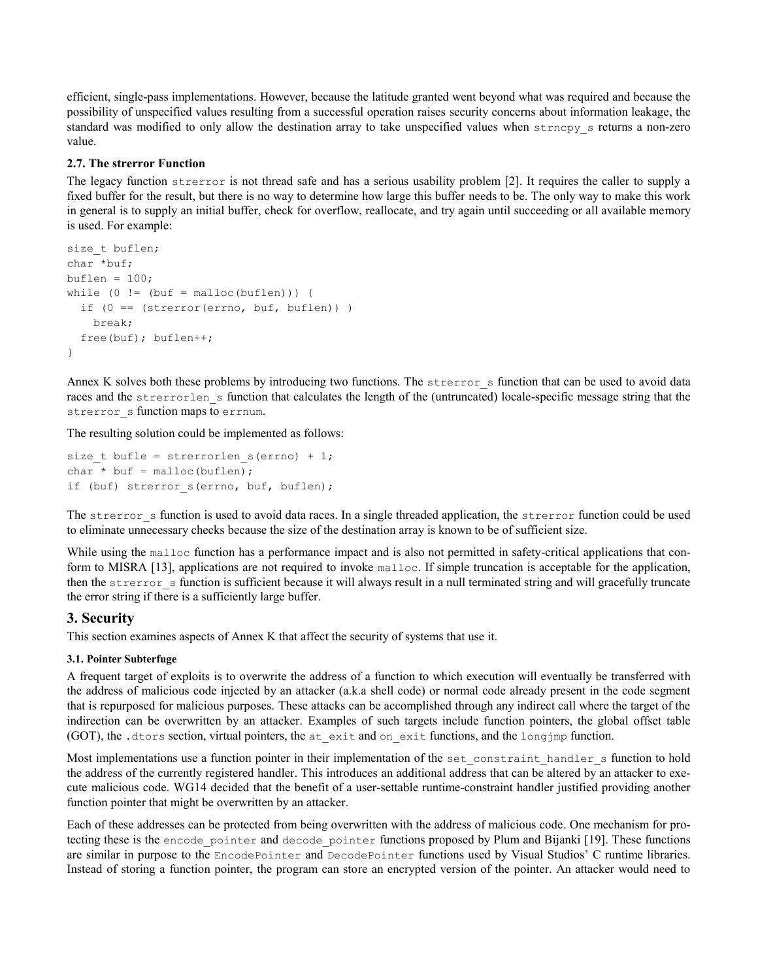efficient, single-pass implementations. However, because the latitude granted went beyond what was required and because the possibility of unspecified values resulting from a successful operation raises security concerns about information leakage, the standard was modified to only allow the destination array to take unspecified values when strncpy\_s returns a non-zero value.

### **2.7. The strerror Function**

The legacy function strerror is not thread safe and has a serious usability problem [2]. It requires the caller to supply a fixed buffer for the result, but there is no way to determine how large this buffer needs to be. The only way to make this work in general is to supply an initial buffer, check for overflow, reallocate, and try again until succeeding or all available memory is used. For example:

```
size_t buflen; 
char *buf; 
buflen = 100;while (0 := (buf = malloc(bluflen)))if (0 == (strerror(errno, buf, buflen))) break;
   free(buf); buflen++;
}
```
Annex K solves both these problems by introducing two functions. The strerror s function that can be used to avoid data races and the strerrorlen\_s function that calculates the length of the (untruncated) locale-specific message string that the strerror s function maps to errnum.

The resulting solution could be implemented as follows:

```
size t bufle = strerrorlen s(errno) + 1;
char * buf = malloc(buflen);
if (buf) strerror s(errno, buf, buflen);
```
The strerror s function is used to avoid data races. In a single threaded application, the strerror function could be used to eliminate unnecessary checks because the size of the destination array is known to be of sufficient size.

While using the malloc function has a performance impact and is also not permitted in safety-critical applications that conform to MISRA [13], applications are not required to invoke malloc. If simple truncation is acceptable for the application, then the strerror s function is sufficient because it will always result in a null terminated string and will gracefully truncate the error string if there is a sufficiently large buffer.

# **3. Security**

This section examines aspects of Annex K that affect the security of systems that use it.

### **3.1. Pointer Subterfuge**

A frequent target of exploits is to overwrite the address of a function to which execution will eventually be transferred with the address of malicious code injected by an attacker (a.k.a shell code) or normal code already present in the code segment that is repurposed for malicious purposes. These attacks can be accomplished through any indirect call where the target of the indirection can be overwritten by an attacker. Examples of such targets include function pointers, the global offset table (GOT), the .dtors section, virtual pointers, the at\_exit and on\_exit functions, and the longjmp function.

Most implementations use a function pointer in their implementation of the set\_constraint\_handler\_s function to hold the address of the currently registered handler. This introduces an additional address that can be altered by an attacker to execute malicious code. WG14 decided that the benefit of a user-settable runtime-constraint handler justified providing another function pointer that might be overwritten by an attacker.

Each of these addresses can be protected from being overwritten with the address of malicious code. One mechanism for protecting these is the encode\_pointer and decode\_pointer functions proposed by Plum and Bijanki [19]. These functions are similar in purpose to the EncodePointer and DecodePointer functions used by Visual Studios' C runtime libraries. Instead of storing a function pointer, the program can store an encrypted version of the pointer. An attacker would need to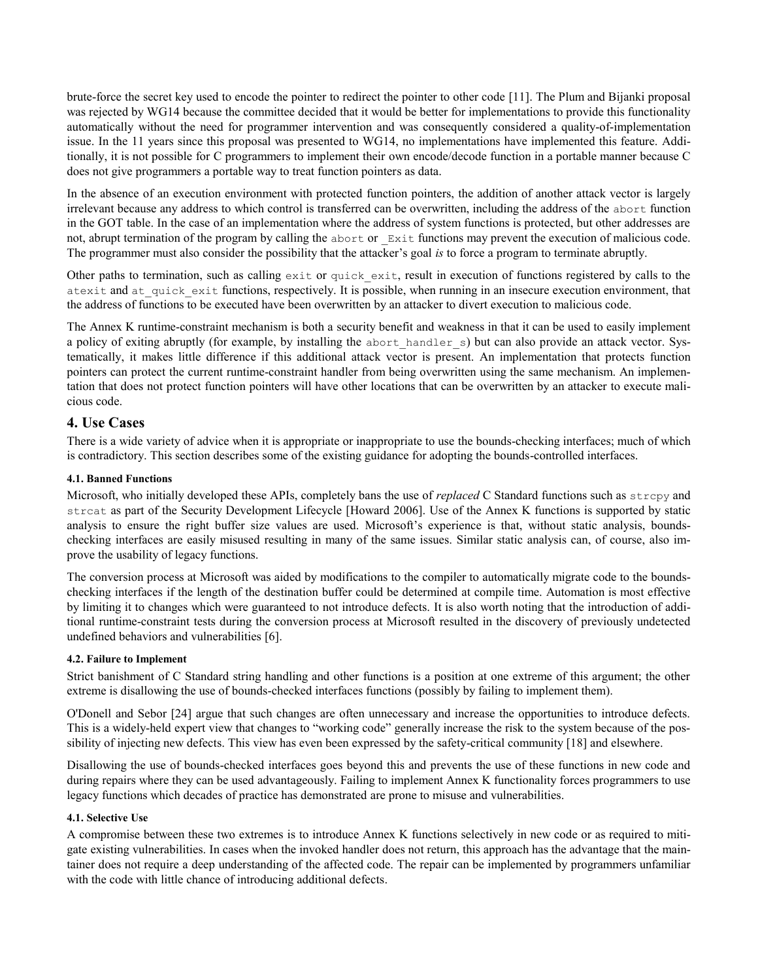brute-force the secret key used to encode the pointer to redirect the pointer to other code [11]. The Plum and Bijanki proposal was rejected by WG14 because the committee decided that it would be better for implementations to provide this functionality automatically without the need for programmer intervention and was consequently considered a quality-of-implementation issue. In the 11 years since this proposal was presented to WG14, no implementations have implemented this feature. Additionally, it is not possible for C programmers to implement their own encode/decode function in a portable manner because C does not give programmers a portable way to treat function pointers as data.

In the absence of an execution environment with protected function pointers, the addition of another attack vector is largely irrelevant because any address to which control is transferred can be overwritten, including the address of the abort function in the GOT table. In the case of an implementation where the address of system functions is protected, but other addresses are not, abrupt termination of the program by calling the abort or Exit functions may prevent the execution of malicious code. The programmer must also consider the possibility that the attacker's goal *is* to force a program to terminate abruptly.

Other paths to termination, such as calling  $ext{exit}$  or quick  $ext{exit}$ , result in execution of functions registered by calls to the atexit and at quick exit functions, respectively. It is possible, when running in an insecure execution environment, that the address of functions to be executed have been overwritten by an attacker to divert execution to malicious code.

The Annex K runtime-constraint mechanism is both a security benefit and weakness in that it can be used to easily implement a policy of exiting abruptly (for example, by installing the abort handler s) but can also provide an attack vector. Systematically, it makes little difference if this additional attack vector is present. An implementation that protects function pointers can protect the current runtime-constraint handler from being overwritten using the same mechanism. An implementation that does not protect function pointers will have other locations that can be overwritten by an attacker to execute malicious code.

### **4. Use Cases**

There is a wide variety of advice when it is appropriate or inappropriate to use the bounds-checking interfaces; much of which is contradictory. This section describes some of the existing guidance for adopting the bounds-controlled interfaces.

#### **4.1. Banned Functions**

Microsoft, who initially developed these APIs, completely bans the use of *replaced* C Standard functions such as strcpy and strcat as part of the Security Development Lifecycle [Howard 2006]. Use of the Annex K functions is supported by static analysis to ensure the right buffer size values are used. Microsoft's experience is that, without static analysis, boundschecking interfaces are easily misused resulting in many of the same issues. Similar static analysis can, of course, also improve the usability of legacy functions.

The conversion process at Microsoft was aided by modifications to the compiler to automatically migrate code to the boundschecking interfaces if the length of the destination buffer could be determined at compile time. Automation is most effective by limiting it to changes which were guaranteed to not introduce defects. It is also worth noting that the introduction of additional runtime-constraint tests during the conversion process at Microsoft resulted in the discovery of previously undetected undefined behaviors and vulnerabilities [6].

### **4.2. Failure to Implement**

Strict banishment of C Standard string handling and other functions is a position at one extreme of this argument; the other extreme is disallowing the use of bounds-checked interfaces functions (possibly by failing to implement them).

O'Donell and Sebor [24] argue that such changes are often unnecessary and increase the opportunities to introduce defects. This is a widely-held expert view that changes to "working code" generally increase the risk to the system because of the possibility of injecting new defects. This view has even been expressed by the safety-critical community [18] and elsewhere.

Disallowing the use of bounds-checked interfaces goes beyond this and prevents the use of these functions in new code and during repairs where they can be used advantageously. Failing to implement Annex K functionality forces programmers to use legacy functions which decades of practice has demonstrated are prone to misuse and vulnerabilities.

### **4.1. Selective Use**

A compromise between these two extremes is to introduce Annex K functions selectively in new code or as required to mitigate existing vulnerabilities. In cases when the invoked handler does not return, this approach has the advantage that the maintainer does not require a deep understanding of the affected code. The repair can be implemented by programmers unfamiliar with the code with little chance of introducing additional defects.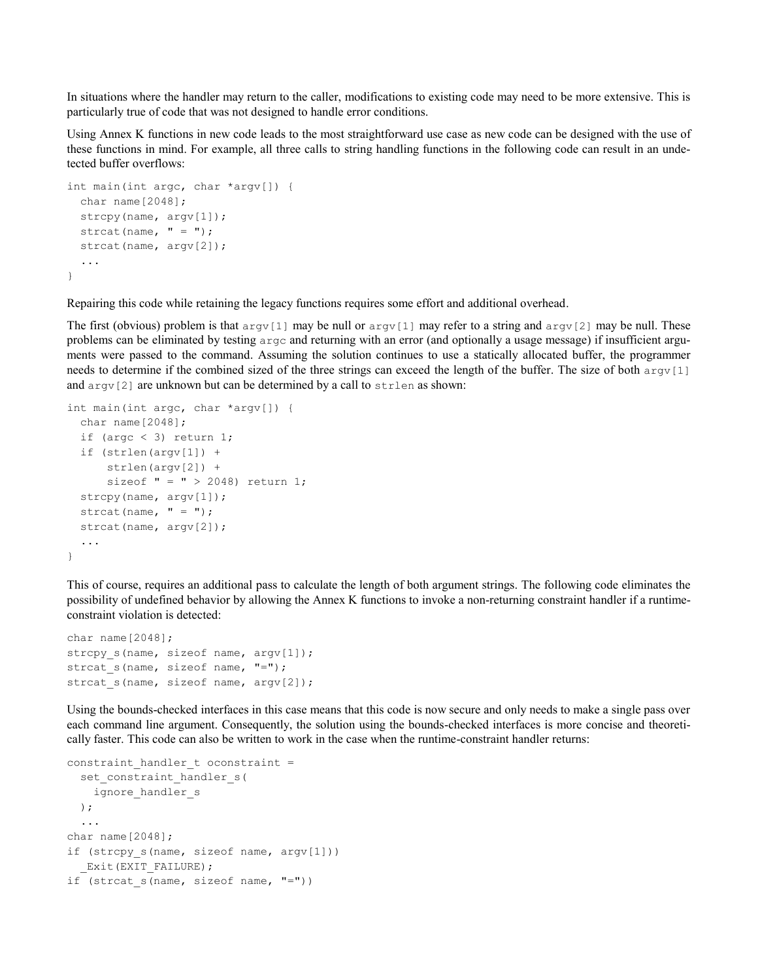In situations where the handler may return to the caller, modifications to existing code may need to be more extensive. This is particularly true of code that was not designed to handle error conditions.

Using Annex K functions in new code leads to the most straightforward use case as new code can be designed with the use of these functions in mind. For example, all three calls to string handling functions in the following code can result in an undetected buffer overflows:

```
int main(int argc, char *argv[]) {
   char name[2048];
  strcpy(name, argv[1]);
  strcat(name, " = ");
  strcat(name, argv[2]);
   ...
}
```
Repairing this code while retaining the legacy functions requires some effort and additional overhead.

The first (obvious) problem is that  $\arg(y[1]$  may be null or  $\arg(y[1]$  may refer to a string and  $\arg(y[2]$  may be null. These problems can be eliminated by testing argc and returning with an error (and optionally a usage message) if insufficient arguments were passed to the command. Assuming the solution continues to use a statically allocated buffer, the programmer needs to determine if the combined sized of the three strings can exceed the length of the buffer. The size of both argv[1] and  $\arg(y[2]$  are unknown but can be determined by a call to  $\text{strlen}$  as shown:

```
int main(int argc, char *argv[]) {
  char name[2048];
  if (argc \langle 3) return 1;
   if (strlen(argv[1]) + 
       strlen(argv[2]) + 
      sizeof " = " > 2048) return 1;
  strcpy(name, argv[1]);
  strcat(name, " = ");
 strcat(name, argv[2]);
   ...
}
```
This of course, requires an additional pass to calculate the length of both argument strings. The following code eliminates the possibility of undefined behavior by allowing the Annex K functions to invoke a non-returning constraint handler if a runtimeconstraint violation is detected:

```
char name[2048];
strcpy s(name, sizeof name, argv[1]);
strcat_s(name, sizeof name, "=");
strcat s(name, sizeof name, argv[2]);
```
Using the bounds-checked interfaces in this case means that this code is now secure and only needs to make a single pass over each command line argument. Consequently, the solution using the bounds-checked interfaces is more concise and theoretically faster. This code can also be written to work in the case when the runtime-constraint handler returns:

```
constraint_handler_t oconstraint = 
  set constraint handler s(
     ignore_handler_s
  );
   ...
char name[2048];
if (strcpy s(name, sizeof name, argv[1]))
  Exit(EXIT_FAILURE);
if (strcat s(name, sizeof name, "=""))
```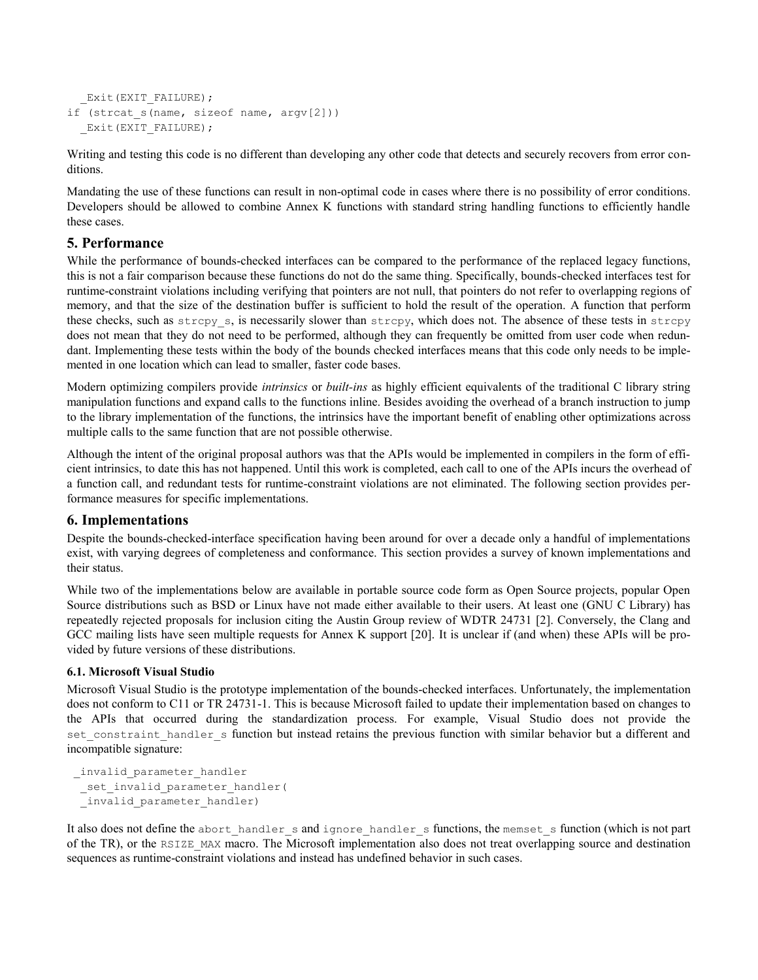```
Exit(EXIT_FAILURE);
if (strcat s(name, sizeof name, argv[2]))
  Exit(EXIT_FAILURE);
```
Writing and testing this code is no different than developing any other code that detects and securely recovers from error conditions.

Mandating the use of these functions can result in non-optimal code in cases where there is no possibility of error conditions. Developers should be allowed to combine Annex K functions with standard string handling functions to efficiently handle these cases.

### **5. Performance**

While the performance of bounds-checked interfaces can be compared to the performance of the replaced legacy functions, this is not a fair comparison because these functions do not do the same thing. Specifically, bounds-checked interfaces test for runtime-constraint violations including verifying that pointers are not null, that pointers do not refer to overlapping regions of memory, and that the size of the destination buffer is sufficient to hold the result of the operation. A function that perform these checks, such as strcpy\_s, is necessarily slower than strcpy, which does not. The absence of these tests in strcpy does not mean that they do not need to be performed, although they can frequently be omitted from user code when redundant. Implementing these tests within the body of the bounds checked interfaces means that this code only needs to be implemented in one location which can lead to smaller, faster code bases.

Modern optimizing compilers provide *intrinsics* or *built-ins* as highly efficient equivalents of the traditional C library string manipulation functions and expand calls to the functions inline. Besides avoiding the overhead of a branch instruction to jump to the library implementation of the functions, the intrinsics have the important benefit of enabling other optimizations across multiple calls to the same function that are not possible otherwise.

Although the intent of the original proposal authors was that the APIs would be implemented in compilers in the form of efficient intrinsics, to date this has not happened. Until this work is completed, each call to one of the APIs incurs the overhead of a function call, and redundant tests for runtime-constraint violations are not eliminated. The following section provides performance measures for specific implementations.

# **6. Implementations**

Despite the bounds-checked-interface specification having been around for over a decade only a handful of implementations exist, with varying degrees of completeness and conformance. This section provides a survey of known implementations and their status.

While two of the implementations below are available in portable source code form as Open Source projects, popular Open Source distributions such as BSD or Linux have not made either available to their users. At least one (GNU C Library) has repeatedly rejected proposals for inclusion citing the Austin Group review of WDTR 24731 [2]. Conversely, the Clang and GCC mailing lists have seen multiple requests for Annex K support [20]. It is unclear if (and when) these APIs will be provided by future versions of these distributions.

### **6.1. Microsoft Visual Studio**

Microsoft Visual Studio is the prototype implementation of the bounds-checked interfaces. Unfortunately, the implementation does not conform to C11 or TR 24731-1. This is because Microsoft failed to update their implementation based on changes to the APIs that occurred during the standardization process. For example, Visual Studio does not provide the set constraint handler s function but instead retains the previous function with similar behavior but a different and incompatible signature:

```
_invalid_parameter_handler
 _set_invalid_parameter_handler(
 _invalid_parameter_handler)
```
It also does not define the abort handler s and ignore handler s functions, the memset s function (which is not part of the TR), or the RSIZE\_MAX macro. The Microsoft implementation also does not treat overlapping source and destination sequences as runtime-constraint violations and instead has undefined behavior in such cases.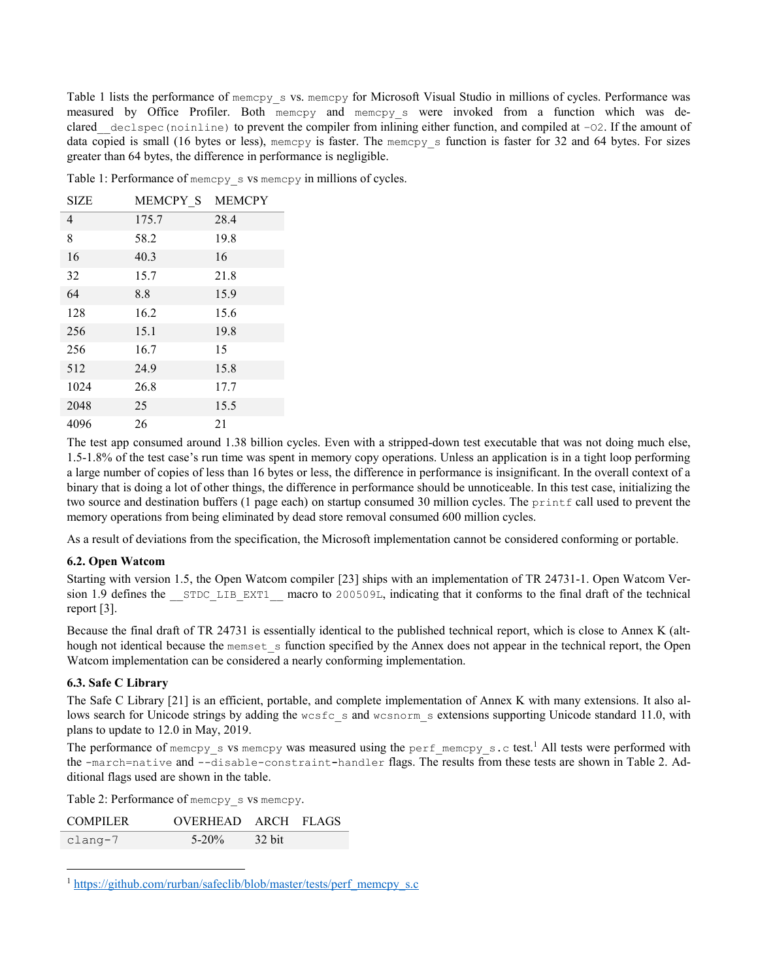Table 1 lists the performance of memcpy\_s vs. memcpy for Microsoft Visual Studio in millions of cycles. Performance was measured by Office Profiler. Both memcpy and memcpy s were invoked from a function which was declared declspec(noinline) to prevent the compiler from inlining either function, and compiled at –02. If the amount of data copied is small (16 bytes or less), memcpy is faster. The memcpy\_s function is faster for 32 and 64 bytes. For sizes greater than 64 bytes, the difference in performance is negligible.

Table 1: Performance of memcpy\_s vs memcpy in millions of cycles.

| <b>SIZE</b>    | MEMCPY S | <b>MEMCPY</b> |
|----------------|----------|---------------|
| $\overline{4}$ | 175.7    | 28.4          |
| 8              | 58.2     | 19.8          |
| 16             | 40.3     | 16            |
| 32             | 15.7     | 21.8          |
| 64             | 8.8      | 15.9          |
| 128            | 16.2     | 15.6          |
| 256            | 15.1     | 19.8          |
| 256            | 16.7     | 15            |
| 512            | 24.9     | 15.8          |
| 1024           | 26.8     | 17.7          |
| 2048           | 25       | 15.5          |
| 4096           | 26       | 21            |

The test app consumed around 1.38 billion cycles. Even with a stripped-down test executable that was not doing much else, 1.5-1.8% of the test case's run time was spent in memory copy operations. Unless an application is in a tight loop performing a large number of copies of less than 16 bytes or less, the difference in performance is insignificant. In the overall context of a binary that is doing a lot of other things, the difference in performance should be unnoticeable. In this test case, initializing the two source and destination buffers (1 page each) on startup consumed 30 million cycles. The printf call used to prevent the memory operations from being eliminated by dead store removal consumed 600 million cycles.

As a result of deviations from the specification, the Microsoft implementation cannot be considered conforming or portable.

### **6.2. Open Watcom**

Starting with version 1.5, the Open Watcom compiler [23] ships with an implementation of TR 24731-1. Open Watcom Version 1.9 defines the STDC LIB EXT1 macro to 200509L, indicating that it conforms to the final draft of the technical report [3].

Because the final draft of TR 24731 is essentially identical to the published technical report, which is close to Annex K (although not identical because the memset s function specified by the Annex does not appear in the technical report, the Open Watcom implementation can be considered a nearly conforming implementation.

### **6.3. Safe C Library**

 $\overline{a}$ 

The Safe C Library [21] is an efficient, portable, and complete implementation of Annex K with many extensions. It also allows search for Unicode strings by adding the wcsfc s and wcsnorm s extensions supporting Unicode standard 11.0, with plans to update to 12.0 in May, 2019.

The performance of memcpy s vs memcpy was measured using the perf\_memcpy\_s.c test.<sup>1</sup> All tests were performed with the -march=native and --disable-constraint**-**handler flags. The results from these tests are shown in Table 2. Additional flags used are shown in the table.

Table 2: Performance of memcpy\_s vs memcpy.

| <b>COMPILER</b> | OVERHEAD ARCH FLAGS |               |  |
|-----------------|---------------------|---------------|--|
| clang-7         | $5 - 20\%$          | $\sim$ 32 bit |  |

[https://github.com/rurban/safeclib/blob/master/tests/perf\\_memcpy\\_s.c](https://github.com/rurban/safeclib/blob/master/tests/perf_memcpy_s.c)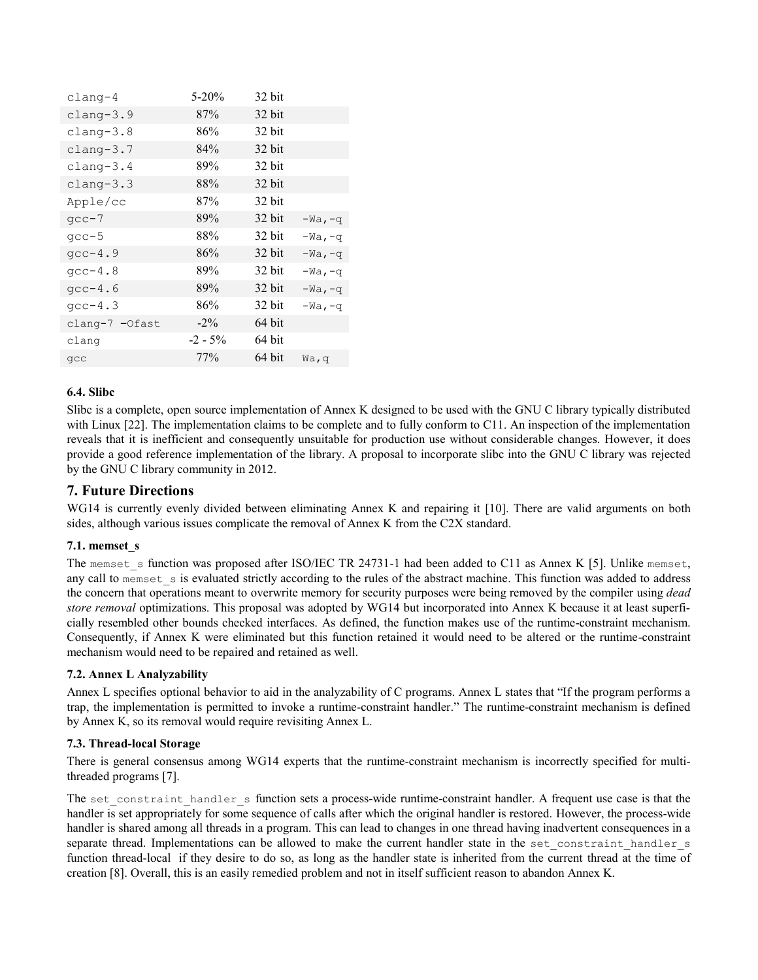| clang-4        | $5 - 20%$  | 32 bit |           |
|----------------|------------|--------|-----------|
| $cl$ ang-3.9   | 87%        | 32 bit |           |
| $cl$ ang-3.8   | 86%        | 32 bit |           |
| clang-3.7      | 84%        | 32 bit |           |
| $clang-3.4$    | 89%        | 32 bit |           |
| $clang-3.3$    | 88%        | 32 bit |           |
| Apple/cc       | 87%        | 32 bit |           |
| $qcc-7$        | 89%        | 32 bit | $-Wa, -q$ |
| $qcc-5$        | 88%        | 32 bit | $-Wa, -q$ |
| $qcc-4.9$      | 86%        | 32 bit | $-Wa, -q$ |
| $qcc-4.8$      | 89%        | 32 bit | $-Wa, -q$ |
| $qcc-4.6$      | 89%        | 32 bit | $-Wa, -q$ |
| $qcc-4.3$      | 86%        | 32 bit | $-Wa, -q$ |
| clang-7 -Ofast | $-2\%$     | 64 bit |           |
| clang          | $-2 - 5\%$ | 64 bit |           |
| qcc            | 77%        | 64 bit | Wa, q     |

### **6.4. Slibc**

Slibc is a complete, open source implementation of Annex K designed to be used with the GNU C library typically distributed with Linux [22]. The implementation claims to be complete and to fully conform to C11. An inspection of the implementation reveals that it is inefficient and consequently unsuitable for production use without considerable changes. However, it does provide a good reference implementation of the library. A proposal to incorporate slibc into the GNU C library was rejected by the GNU C library community in 2012.

# **7. Future Directions**

WG14 is currently evenly divided between eliminating Annex K and repairing it [10]. There are valid arguments on both sides, although various issues complicate the removal of Annex K from the C2X standard.

### **7.1. memset\_s**

The memset s function was proposed after ISO/IEC TR 24731-1 had been added to C11 as Annex K [5]. Unlike memset, any call to memset s is evaluated strictly according to the rules of the abstract machine. This function was added to address the concern that operations meant to overwrite memory for security purposes were being removed by the compiler using *dead store removal* optimizations. This proposal was adopted by WG14 but incorporated into Annex K because it at least superficially resembled other bounds checked interfaces. As defined, the function makes use of the runtime-constraint mechanism. Consequently, if Annex K were eliminated but this function retained it would need to be altered or the runtime-constraint mechanism would need to be repaired and retained as well.

### **7.2. Annex L Analyzability**

Annex L specifies optional behavior to aid in the analyzability of C programs. Annex L states that "If the program performs a trap, the implementation is permitted to invoke a runtime-constraint handler." The runtime-constraint mechanism is defined by Annex K, so its removal would require revisiting Annex L.

#### **7.3. Thread-local Storage**

There is general consensus among WG14 experts that the runtime-constraint mechanism is incorrectly specified for multithreaded programs [7].

The set constraint handler s function sets a process-wide runtime-constraint handler. A frequent use case is that the handler is set appropriately for some sequence of calls after which the original handler is restored. However, the process-wide handler is shared among all threads in a program. This can lead to changes in one thread having inadvertent consequences in a separate thread. Implementations can be allowed to make the current handler state in the set constraint handler s function thread-local if they desire to do so, as long as the handler state is inherited from the current thread at the time of creation [8]. Overall, this is an easily remedied problem and not in itself sufficient reason to abandon Annex K.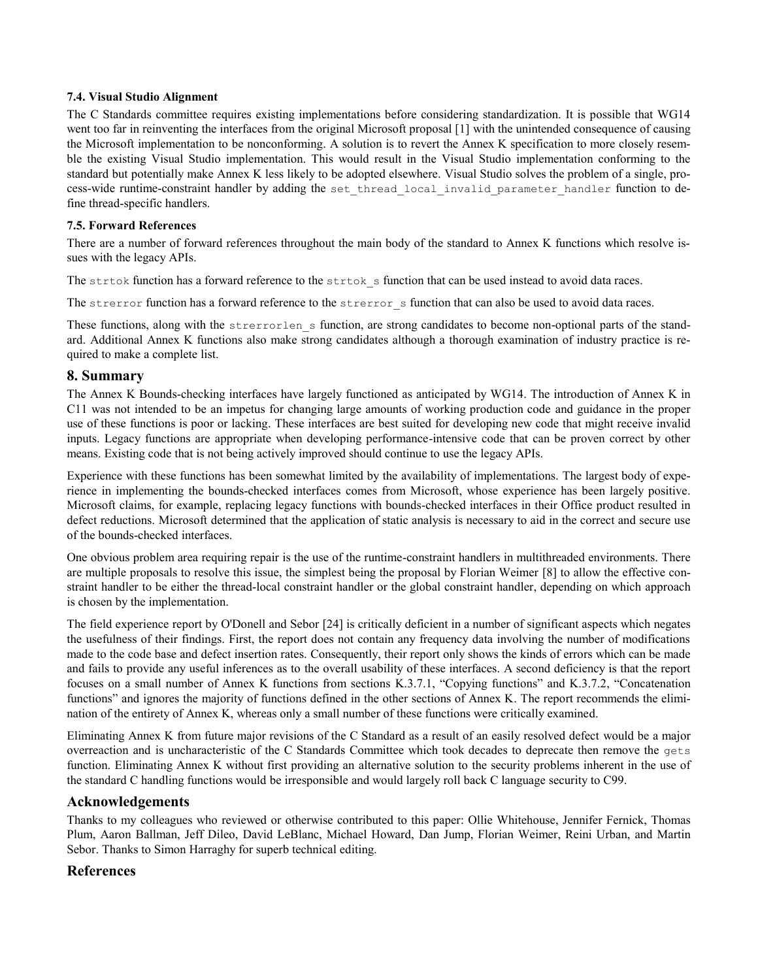#### **7.4. Visual Studio Alignment**

The C Standards committee requires existing implementations before considering standardization. It is possible that WG14 went too far in reinventing the interfaces from the original Microsoft proposal [1] with the unintended consequence of causing the Microsoft implementation to be nonconforming. A solution is to revert the Annex K specification to more closely resemble the existing Visual Studio implementation. This would result in the Visual Studio implementation conforming to the standard but potentially make Annex K less likely to be adopted elsewhere. Visual Studio solves the problem of a single, process-wide runtime-constraint handler by adding the set thread local invalid parameter handler function to define thread-specific handlers.

### **7.5. Forward References**

There are a number of forward references throughout the main body of the standard to Annex K functions which resolve issues with the legacy APIs.

The strtok function has a forward reference to the strtok s function that can be used instead to avoid data races.

The strerror function has a forward reference to the strerror s function that can also be used to avoid data races.

These functions, along with the strerrorlen s function, are strong candidates to become non-optional parts of the standard. Additional Annex K functions also make strong candidates although a thorough examination of industry practice is required to make a complete list.

### **8. Summary**

The Annex K Bounds-checking interfaces have largely functioned as anticipated by WG14. The introduction of Annex K in C11 was not intended to be an impetus for changing large amounts of working production code and guidance in the proper use of these functions is poor or lacking. These interfaces are best suited for developing new code that might receive invalid inputs. Legacy functions are appropriate when developing performance-intensive code that can be proven correct by other means. Existing code that is not being actively improved should continue to use the legacy APIs.

Experience with these functions has been somewhat limited by the availability of implementations. The largest body of experience in implementing the bounds-checked interfaces comes from Microsoft, whose experience has been largely positive. Microsoft claims, for example, replacing legacy functions with bounds-checked interfaces in their Office product resulted in defect reductions. Microsoft determined that the application of static analysis is necessary to aid in the correct and secure use of the bounds-checked interfaces.

One obvious problem area requiring repair is the use of the runtime-constraint handlers in multithreaded environments. There are multiple proposals to resolve this issue, the simplest being the proposal by Florian Weimer [8] to allow the effective constraint handler to be either the thread-local constraint handler or the global constraint handler, depending on which approach is chosen by the implementation.

The field experience report by O'Donell and Sebor [24] is critically deficient in a number of significant aspects which negates the usefulness of their findings. First, the report does not contain any frequency data involving the number of modifications made to the code base and defect insertion rates. Consequently, their report only shows the kinds of errors which can be made and fails to provide any useful inferences as to the overall usability of these interfaces. A second deficiency is that the report focuses on a small number of Annex K functions from sections K.3.7.1, "Copying functions" and K.3.7.2, "Concatenation functions" and ignores the majority of functions defined in the other sections of Annex K. The report recommends the elimination of the entirety of Annex K, whereas only a small number of these functions were critically examined.

Eliminating Annex K from future major revisions of the C Standard as a result of an easily resolved defect would be a major overreaction and is uncharacteristic of the C Standards Committee which took decades to deprecate then remove the gets function. Eliminating Annex K without first providing an alternative solution to the security problems inherent in the use of the standard C handling functions would be irresponsible and would largely roll back C language security to C99.

# **Acknowledgements**

Thanks to my colleagues who reviewed or otherwise contributed to this paper: Ollie Whitehouse, Jennifer Fernick, Thomas Plum, Aaron Ballman, Jeff Dileo, David LeBlanc, Michael Howard, Dan Jump, Florian Weimer, Reini Urban, and Martin Sebor. Thanks to Simon Harraghy for superb technical editing.

# **References**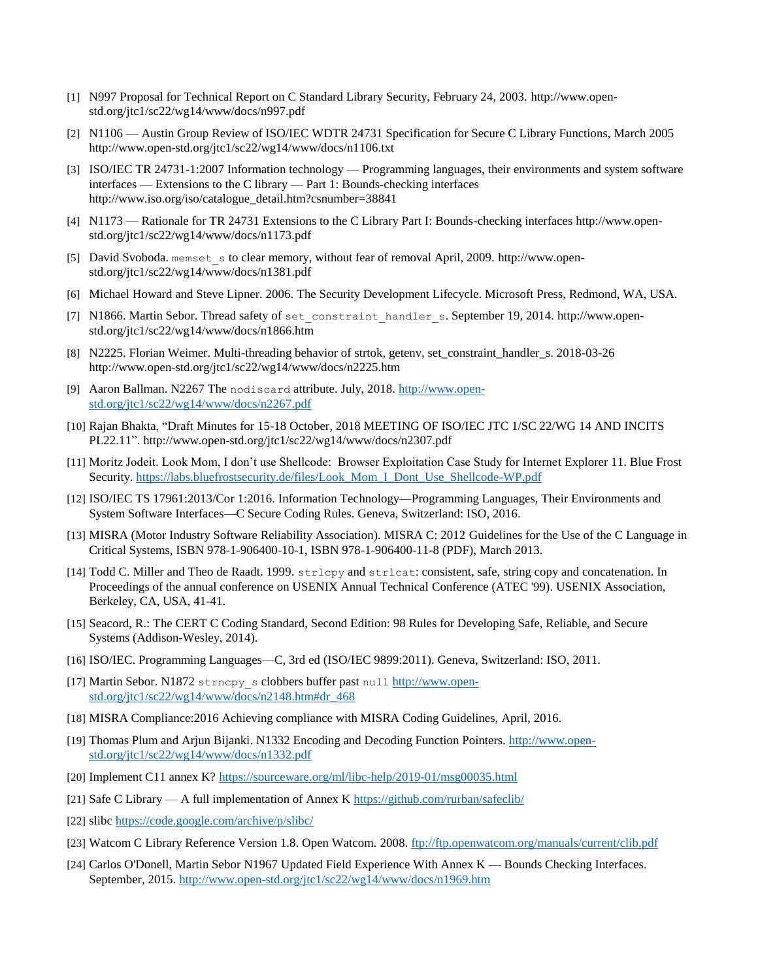- [1] N997 Proposal for Technical Report on C Standard Library Security, February 24, 2003. [http://www.open](http://www.open-std.org/jtc1/sc22/wg14/www/docs/n997.pdf)[std.org/jtc1/sc22/wg14/www/docs/n997.pdf](http://www.open-std.org/jtc1/sc22/wg14/www/docs/n997.pdf)
- [2] N1106 Austin Group Review of ISO/IEC WDTR 24731 Specification for Secure C Library Functions, March 2005 <http://www.open-std.org/jtc1/sc22/wg14/www/docs/n1106.txt>
- [3] ISO/IEC TR 24731-1:2007 Information technology Programming languages, their environments and system software interfaces — Extensions to the C library — Part 1: Bounds-checking interfaces [http://www.iso.org/iso/catalogue\\_detail.htm?csnumber=38841](http://www.iso.org/iso/catalogue_detail.htm?csnumber=38841)
- [4] N1173 Rationale for TR 24731 Extensions to the C Library Part I: Bounds-checking interfaces [http://www.open](http://www.open-std.org/jtc1/sc22/wg14/www/docs/n1173.pdf)[std.org/jtc1/sc22/wg14/www/docs/n1173.pdf](http://www.open-std.org/jtc1/sc22/wg14/www/docs/n1173.pdf)
- [5] David Svoboda. memset s to clear memory, without fear of removal April, 2009. [http://www.open](http://www.open-std.org/jtc1/sc22/wg14/www/docs/n1381.pdf)[std.org/jtc1/sc22/wg14/www/docs/n1381.pdf](http://www.open-std.org/jtc1/sc22/wg14/www/docs/n1381.pdf)
- [6] Michael Howard and Steve Lipner. 2006. The Security Development Lifecycle. Microsoft Press, Redmond, WA, USA.
- [7] N1866. Martin Sebor. Thread safety of set\_constraint\_handler\_s. September 19, 2014. [http://www.open](http://www.open-std.org/jtc1/sc22/wg14/www/docs/n1866.htm)[std.org/jtc1/sc22/wg14/www/docs/n1866.htm](http://www.open-std.org/jtc1/sc22/wg14/www/docs/n1866.htm)
- [8] N2225. Florian Weimer. Multi-threading behavior of strtok, getenv, set\_constraint\_handler\_s. 2018-03-26 <http://www.open-std.org/jtc1/sc22/wg14/www/docs/n2225.htm>
- [9] Aaron Ballman. N2267 The nodiscard attribute. July, 2018. [http://www.open](http://www.open-std.org/jtc1/sc22/wg14/www/docs/n2267.pdf)[std.org/jtc1/sc22/wg14/www/docs/n2267.pdf](http://www.open-std.org/jtc1/sc22/wg14/www/docs/n2267.pdf)
- [10] Rajan Bhakta, "Draft Minutes for 15-18 October, 2018 MEETING OF ISO/IEC JTC 1/SC 22/WG 14 AND INCITS PL22.11". http://www.open-std.org/jtc1/sc22/wg14/www/docs/n2307.pdf
- [11] Moritz Jodeit. Look Mom, I don't use Shellcode: Browser Exploitation Case Study for Internet Explorer 11. Blue Frost Security. [https://labs.bluefrostsecurity.de/files/Look\\_Mom\\_I\\_Dont\\_Use\\_Shellcode-WP.pdf](https://labs.bluefrostsecurity.de/files/Look_Mom_I_Dont_Use_Shellcode-WP.pdf)
- [12] ISO/IEC TS 17961:2013/Cor 1:2016. Information Technology—Programming Languages, Their Environments and System Software Interfaces—C Secure Coding Rules. Geneva, Switzerland: ISO, 2016.
- [13] MISRA (Motor Industry Software Reliability Association). MISRA C: 2012 Guidelines for the Use of the C Language in Critical Systems, ISBN 978-1-906400-10-1, ISBN 978-1-906400-11-8 (PDF), March 2013.
- [14] Todd C. Miller and Theo de Raadt. 1999. strlcpy and strlcat: consistent, safe, string copy and concatenation. In Proceedings of the annual conference on USENIX Annual Technical Conference (ATEC '99). USENIX Association, Berkeley, CA, USA, 41-41.
- [15] Seacord, R.: The CERT C Coding Standard, Second Edition: 98 Rules for Developing Safe, Reliable, and Secure Systems (Addison-Wesley, 2014).
- [16] ISO/IEC. Programming Languages—C, 3rd ed (ISO/IEC 9899:2011). Geneva, Switzerland: ISO, 2011.
- [17] Martin Sebor. N1872 strncpy\_s clobbers buffer past null [http://www.open](http://www.open-std.org/jtc1/sc22/wg14/www/docs/n2148.htm#dr_468)[std.org/jtc1/sc22/wg14/www/docs/n2148.htm#dr\\_468](http://www.open-std.org/jtc1/sc22/wg14/www/docs/n2148.htm#dr_468)
- [18] MISRA Compliance:2016 Achieving compliance with MISRA Coding Guidelines, April, 2016.
- [19] Thomas Plum and Arjun Bijanki. N1332 Encoding and Decoding Function Pointers. [http://www.open](http://www.open-std.org/jtc1/sc22/wg14/www/docs/n1332.pdf)[std.org/jtc1/sc22/wg14/www/docs/n1332.pdf](http://www.open-std.org/jtc1/sc22/wg14/www/docs/n1332.pdf)
- [20] Implement C11 annex K?<https://sourceware.org/ml/libc-help/2019-01/msg00035.html>
- [21] Safe C Library A full implementation of Annex K<https://github.com/rurban/safeclib/>
- [22] slibc<https://code.google.com/archive/p/slibc/>
- [23] Watcom C Library Reference Version 1.8. Open Watcom. 2008.<ftp://ftp.openwatcom.org/manuals/current/clib.pdf>
- [24] Carlos O'Donell, Martin Sebor N1967 Updated Field Experience With Annex K Bounds Checking Interfaces. September, 2015.<http://www.open-std.org/jtc1/sc22/wg14/www/docs/n1969.htm>